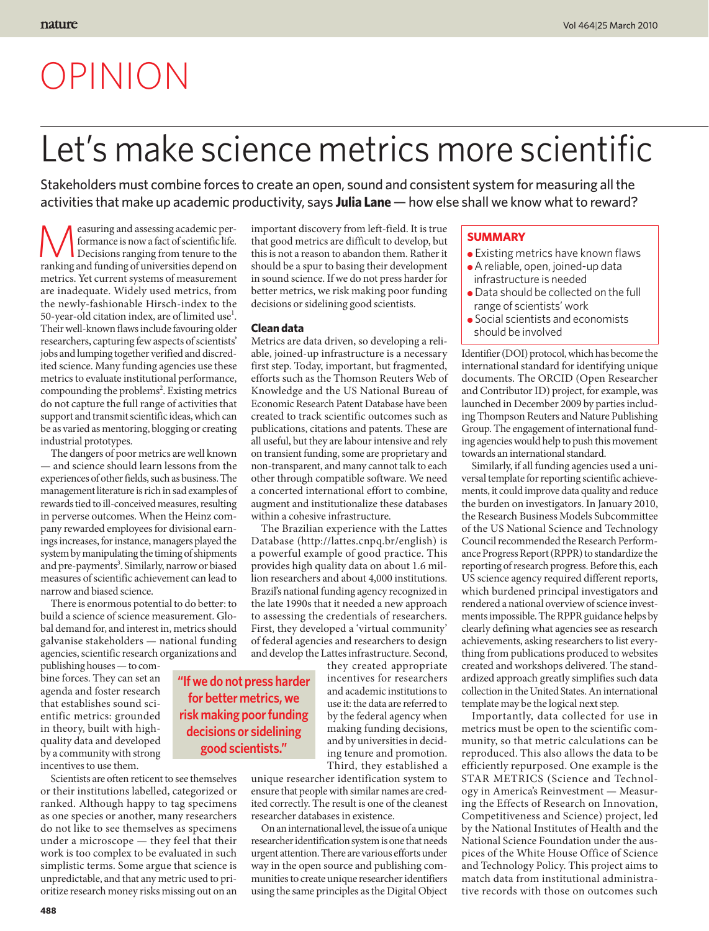# OPINION

## Let's make science metrics more scientific

Stakeholders must combine forces to create an open, sound and consistent system for measuring all the activities that make up academic productivity, says **Julia Lane** — how else shall we know what to reward?

easuring and assessing academic performance is now a fact of scientific life. Decisions ranging from tenure to the ranking and funding of universities depend on metrics. Yet current systems of measurement are inadequate. Widely used metrics, from the newly-fashionable Hirsch-index to the 50-year-old citation index, are of limited use $<sup>1</sup>$ .</sup> Their well-known flaws include favouring older researchers, capturing few aspects of scientists' jobs and lumping together verified and discredited science. Many funding agencies use these metrics to evaluate institutional performance, compounding the problems<sup>2</sup>. Existing metrics do not capture the full range of activities that support and transmit scientific ideas, which can be as varied as mentoring, blogging or creating industrial prototypes.

The dangers of poor metrics are well known — and science should learn lessons from the experiences of other fields, such as business. The management literature is rich in sad examples of rewards tied to ill-conceived measures, resulting in perverse outcomes. When the Heinz company rewarded employees for divisional earnings increases, for instance, managers played the system by manipulating the timing of shipments and pre-payments<sup>3</sup>. Similarly, narrow or biased measures of scientific achievement can lead to narrow and biased science.

There is enormous potential to do better: to build a science of science measurement. Global demand for, and interest in, metrics should galvanise stakeholders — national funding agencies, scientific research organizations and

publishing houses — to combine forces. They can set an agenda and foster research that establishes sound scientific metrics: grounded in theory, built with highquality data and developed by a community with strong incentives to use them.

Scientists are often reticent to see themselves or their institutions labelled, categorized or ranked. Although happy to tag specimens as one species or another, many researchers do not like to see themselves as specimens under a microscope — they feel that their work is too complex to be evaluated in such simplistic terms. Some argue that science is unpredictable, and that any metric used to prioritize research money risks missing out on an important discovery from left-field. It is true that good metrics are difficult to develop, but this is not a reason to abandon them. Rather it should be a spur to basing their development in sound science. If we do not press harder for better metrics, we risk making poor funding decisions or sidelining good scientists.

#### **Clean data**

Metrics are data driven, so developing a reliable, joined-up infrastructure is a necessary first step. Today, important, but fragmented, efforts such as the Thomson Reuters Web of Knowledge and the US National Bureau of Economic Research Patent Database have been created to track scientific outcomes such as publications, citations and patents. These are all useful, but they are labour intensive and rely on transient funding, some are proprietary and non-transparent, and many cannot talk to each other through compatible software. We need a concerted international effort to combine, augment and institutionalize these databases within a cohesive infrastructure.

The Brazilian experience with the Lattes Database (http://lattes.cnpq.br/english) is a powerful example of good practice. This provides high quality data on about 1.6 million researchers and about 4,000 institutions. Brazil's national funding agency recognized in the late 1990s that it needed a new approach to assessing the credentials of researchers. First, they developed a 'virtual community' of federal agencies and researchers to design and develop the Lattes infrastructure. Second,

> they created appropriate incentives for researchers and academic institutions to use it: the data are referred to by the federal agency when making funding decisions, and by universities in deciding tenure and promotion. Third, they established a

unique researcher identification system to ensure that people with similar names are credited correctly. The result is one of the cleanest researcher databases in existence.

On an international level, the issue of a unique researcher identification system is one that needs urgent attention. There are various efforts under way in the open source and publishing communities to create unique researcher identifiers using the same principles as the Digital Object

### **Summary**

- Existing metrics have known flaws ● A reliable, open, joined-up data infrastructure is needed
- Data should be collected on the full range of scientists' work
- Social scientists and economists should be involved

Identifier (DOI) protocol, which has become the international standard for identifying unique documents. The ORCID (Open Researcher and Contributor ID) project, for example, was launched in December 2009 by parties including Thompson Reuters and Nature Publishing Group. The engagement of international funding agencies would help to push this movement towards an international standard.

Similarly, if all funding agencies used a universal template for reporting scientific achievements, it could improve data quality and reduce the burden on investigators. In January 2010, the Research Business Models Subcommittee of the US National Science and Technology Council recommended the Research Performance Progress Report (RPPR) to standardize the reporting of research progress. Before this, each US science agency required different reports, which burdened principal investigators and rendered a national overview of science investments impossible. The RPPR guidance helps by clearly defining what agencies see as research achievements, asking researchers to list everything from publications produced to websites created and workshops delivered. The standardized approach greatly simplifies such data collection in the United States. An international template may be the logical next step.

Importantly, data collected for use in metrics must be open to the scientific community, so that metric calculations can be reproduced. This also allows the data to be efficiently repurposed. One example is the STAR METRICS (Science and Technology in America's Reinvestment — Measuring the Effects of Research on Innovation, Competitiveness and Science) project, led by the National Institutes of Health and the National Science Foundation under the auspices of the White House Office of Science and Technology Policy. This project aims to match data from institutional administrative records with those on outcomes such

**"If we do not press harder for better metrics, we risk making poor funding decisions or sidelining good scientists."**